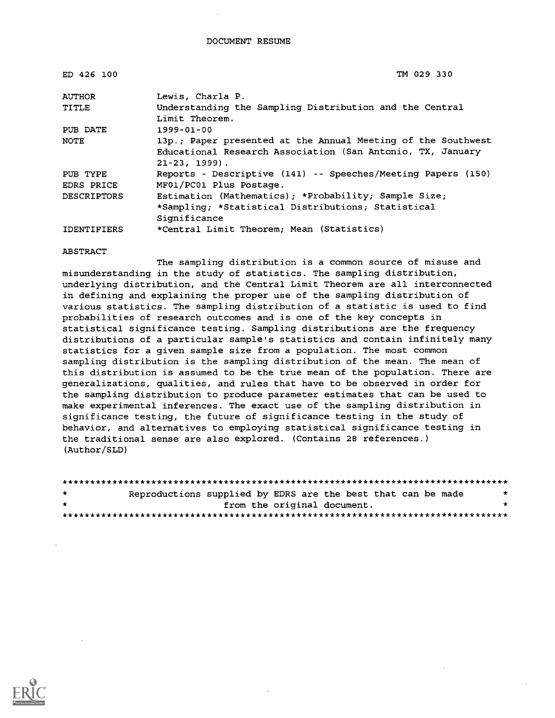| ED 426 100         | TM 029 330                                                                                                                                       |
|--------------------|--------------------------------------------------------------------------------------------------------------------------------------------------|
| <b>AUTHOR</b>      | Lewis, Charla P.                                                                                                                                 |
| TITLE              | Understanding the Sampling Distribution and the Central<br>Limit Theorem.                                                                        |
| PUB DATE           | $1999 - 01 - 00$                                                                                                                                 |
| <b>NOTE</b>        | 13p.; Paper presented at the Annual Meeting of the Southwest<br>Educational Research Association (San Antonio, TX, January<br>$21 - 23$ , 1999). |
| PUB TYPE           | Reports - Descriptive (141) -- Speeches/Meeting Papers (150)                                                                                     |
| EDRS PRICE         | MF01/PC01 Plus Postage.                                                                                                                          |
| <b>DESCRIPTORS</b> | Estimation (Mathematics); *Probability; Sample Size;                                                                                             |
|                    | *Sampling; *Statistical Distributions; Statistical                                                                                               |
|                    | Significance                                                                                                                                     |
| <b>IDENTIFIERS</b> | *Central Limit Theorem; Mean (Statistics)                                                                                                        |

#### ABSTRACT

The sampling distribution is a common source of misuse and misunderstanding in the study of statistics. The sampling distribution, underlying distribution, and the Central Limit Theorem are all interconnected in defining and explaining the proper use of the sampling distribution of various statistics. The sampling distribution of a statistic is used to find probabilities of research outcomes and is one of the key concepts in statistical significance testing. Sampling distributions are the frequency distributions of a particular sample's statistics and contain infinitely many statistics for a given sample size from a population. The most common sampling distribution is the sampling distribution of the mean. The mean of this distribution is assumed to be the true mean of the population. There are generalizations, qualities, and rules that have to be observed in order for the sampling distribution to produce parameter estimates that can be used to make experimental inferences. The exact use of the sampling distribution in significance testing, the future of significance testing in the study of behavior, and alternatives to employing statistical significance testing in the traditional sense are also explored. (Contains 28 references.) (Author/SLD)

| $\star$ | Reproductions supplied by EDRS are the best that can be made |  |                             | * |
|---------|--------------------------------------------------------------|--|-----------------------------|---|
| $\star$ |                                                              |  | from the original document. | * |
|         |                                                              |  |                             |   |

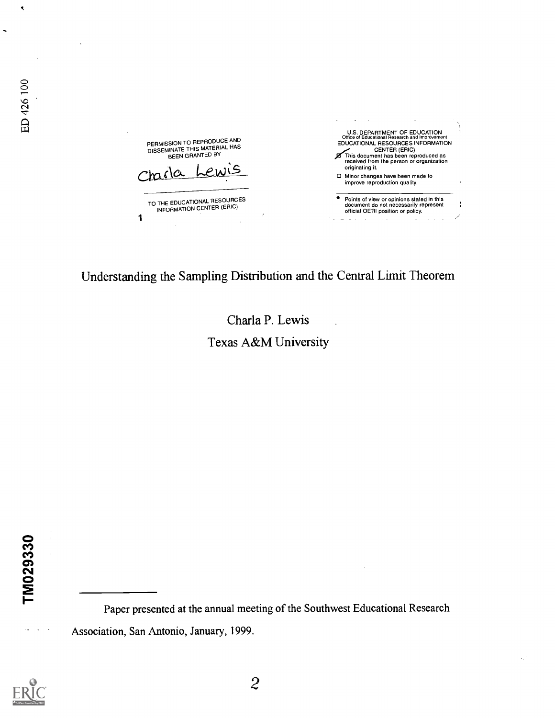U.S. DEPARTMENT OF EDUCATION Office of Educational Research and Improvement PERMISSION TO REPRODUCE AND<br>DISSEMINATE THIS MATERIAL HAS<br>BEEN GRANTED BY EDUCATIONAL RESOURCES INFORMATION<br>
This document has been reproduced as<br>
received from the person or organization originating it. Charla Lewis 0 Minor changes have heen made to improve reproduction quality. TO THE EDUCATIONAL RESOURCES Points of view or opinions stated in this document do not necessarily represent official OERI position or policy. INFORMATION CENTER (ERIC) 1 i.  $\overline{a}$ 

Understanding the Sampling Distribution and the Central Limit Theorem

## Charla P. Lewis Texas A&M University

TM029330

Paper presented at the annual meeting of the Southwest Educational Research Association, San Antonio, January, 1999.



 $\ddot{\phantom{a}}$ 

ED 426 100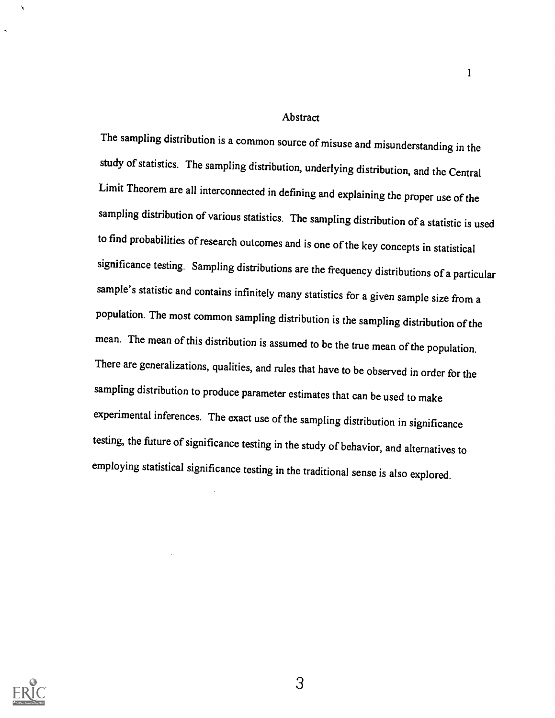#### Abstract

1

The sampling distribution is a common source of misuse and misunderstanding in the study of statistics. The sampling distribution, underlying distribution, and the Central Limit Theorem are all interconnected in defining and explaining the proper use of the sampling distribution of various statistics. The sampling distribution of a statistic is used to find probabilities of research outcomes and is one of the key concepts in statistical significance testing. Sampling distributions are the frequency distributions of a particular sample's statistic and contains infinitely many statistics for a given sample size from a population. The most common sampling distribution is the sampling distribution of the mean. The mean of this distribution is assumed to be the true mean of the population. There are generalizations, qualities, and rules that have to be observed in order for the sampling distribution to produce parameter estimates that can be used to make experimental inferences. The exact use of the sampling distribution in significance testing, the future of significance testing in the study of behavior, and alternatives to employing statistical significance testing in the traditional sense is also explored.



k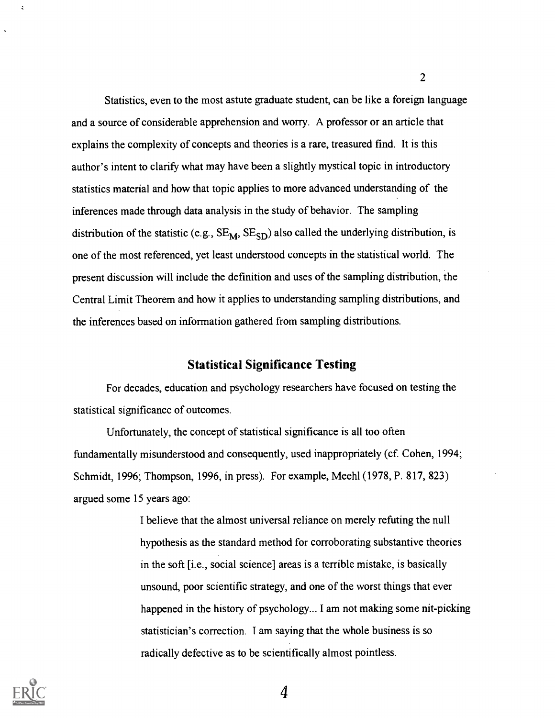Statistics, even to the most astute graduate student, can be like a foreign language and a source of considerable apprehension and worry. A professor or an article that explains the complexity of concepts and theories is a rare, treasured find. It is this author's intent to clarify what may have been a slightly mystical topic in introductory statistics material and how that topic applies to more advanced understanding of the inferences made through data analysis in the study of behavior. The sampling distribution of the statistic (e.g.,  $SE_{M}$ ,  $SE_{SD}$ ) also called the underlying distribution, is one of the most referenced, yet least understood concepts in the statistical world. The present discussion will include the definition and uses of the sampling distribution, the Central Limit Theorem and how it applies to understanding sampling distributions, and the inferences based on information gathered from sampling distributions.

### Statistical Significance Testing

For decades, education and psychology researchers have focused on testing the statistical significance of outcomes.

Unfortunately, the concept of statistical significance is all too often fundamentally misunderstood and consequently, used inappropriately (cf. Cohen, 1994; Schmidt, 1996; Thompson, 1996, in press). For example, Meehl (1978, P. 817, 823) argued some 15 years ago:

> I believe that the almost universal reliance on merely refuting the null hypothesis as the standard method for corroborating substantive theories in the soft [i.e., social science] areas is a terrible mistake, is basically unsound, poor scientific strategy, and one of the worst things that ever happened in the history of psychology... I am not making some nit-picking statistician's correction. I am saying that the whole business is so radically defective as to be scientifically almost pointless.



 $\mathbf{r}$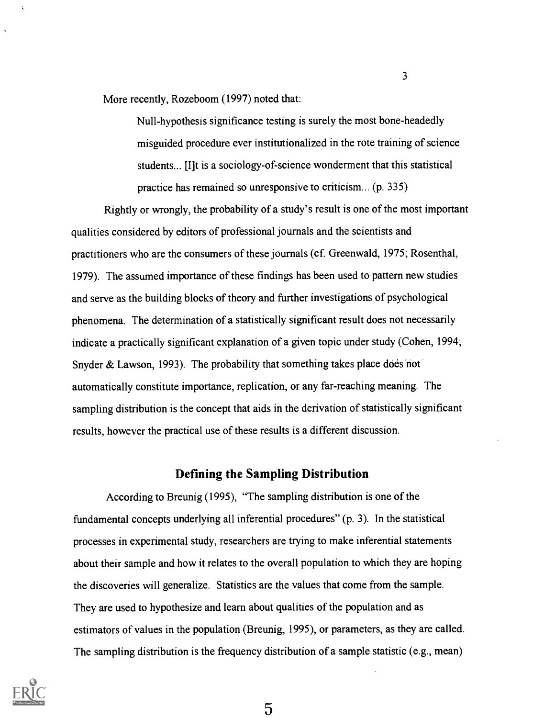More recently, Rozeboom (1997) noted that:

Null-hypothesis significance testing is surely the most bone-headedly misguided procedure ever institutionalized in the rote training of science students... [I]t is a sociology-of-science wonderment that this statistical practice has remained so unresponsive to criticism... (p. 335)

 $\overline{3}$ 

Rightly or wrongly, the probability of a study's result is one of the most important qualities considered by editors of professional journals and the scientists and practitioners who are the consumers of these journals (cf. Greenwald, 1975; Rosenthal, 1979). The assumed importance of these findings has been used to pattern new studies and serve as the building blocks of theory and further investigations of psychological phenomena. The determination of a statistically significant result does not necessarily indicate a practically significant explanation of a given topic under study (Cohen, 1994; Snyder  $&$  Lawson, 1993). The probability that something takes place does not automatically constitute importance, replication, or any far-reaching meaning. The sampling distribution is the concept that aids in the derivation of statistically significant results, however the practical use of these results is a different discussion.

#### Defining the Sampling Distribution

According to Breunig (1995), "The sampling distribution is one of the fundamental concepts underlying all inferential procedures" (p. 3). In the statistical processes in experimental study, researchers are trying to make inferential statements about their sample and how it relates to the overall population to which they are hoping the discoveries will generalize. Statistics are the values that come from the sample. They are used to hypothesize and learn about qualities of the population and as estimators of values in the population (Breunig, 1995), or parameters, as they are called. The sampling distribution is the frequency distribution of a sample statistic (e.g., mean)

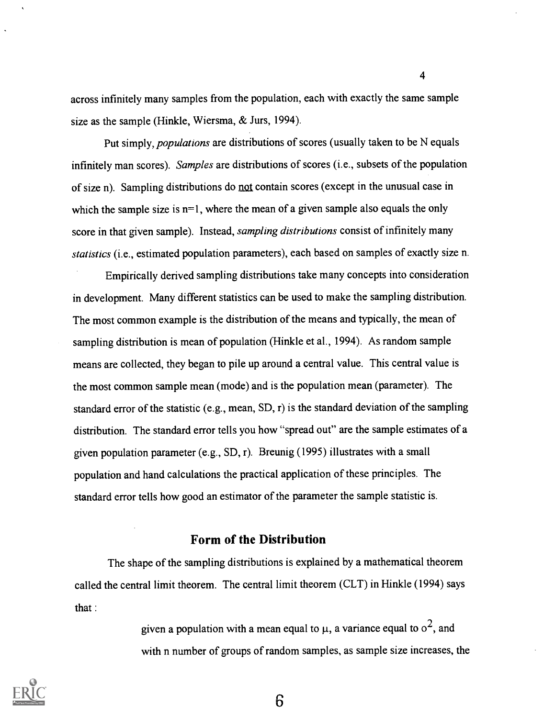across infinitely many samples from the population, each with exactly the same sample size as the sample (Hinkle, Wiersma, & Jurs, 1994).

4

Put simply, *populations* are distributions of scores (usually taken to be N equals infinitely man scores). Samples are distributions of scores (i.e., subsets of the population of size n). Sampling distributions do not contain scores (except in the unusual case in which the sample size is n=1, where the mean of a given sample also equals the only score in that given sample). Instead, *sampling distributions* consist of infinitely many statistics (i.e., estimated population parameters), each based on samples of exactly size n.

Empirically derived sampling distributions take many concepts into consideration in development. Many different statistics can be used to make the sampling distribution. The most common example is the distribution of the means and typically, the mean of sampling distribution is mean of population (Hinkle et al., 1994). As random sample means are collected, they began to pile up around a central value. This central value is the most common sample mean (mode) and is the population mean (parameter). The standard error of the statistic (e.g., mean, SD, r) is the standard deviation of the sampling distribution. The standard error tells you how "spread out" are the sample estimates of a given population parameter (e.g., SD, r). Breunig (1995) illustrates with a small population and hand calculations the practical application of these principles. The standard error tells how good an estimator of the parameter the sample statistic is.

#### Form of the Distribution

The shape of the sampling distributions is explained by a mathematical theorem called the central limit theorem. The central limit theorem (CLT) in Hinkle (1994) says that :

> given a population with a mean equal to  $\mu$ , a variance equal to  $o^2$ , and with n number of groups of random samples, as sample size increases, the

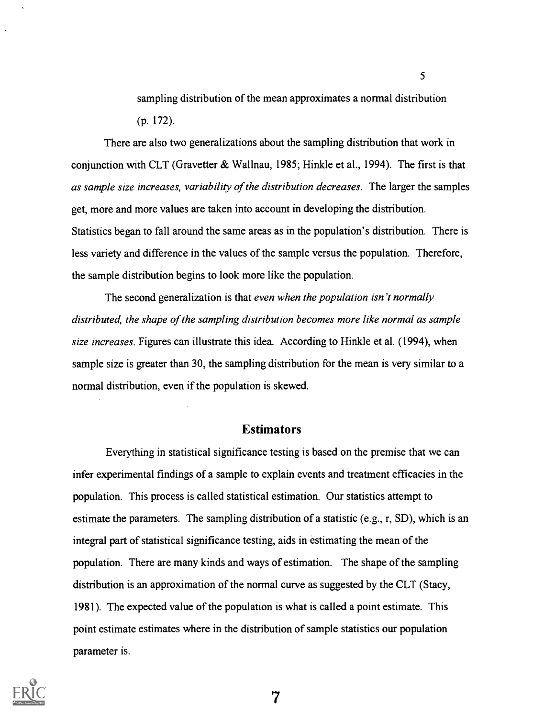sampling distribution of the mean approximates a normal distribution (p. 172).

5

There are also two generalizations about the sampling distribution that work in conjunction with CLT (Gravetter & Wallnau, 1985; Hinkle et al., 1994). The first is that as sample size increases, variability of the distribution decreases. The larger the samples get, more and more values are taken into account in developing the distribution. Statistics began to fall around the same areas as in the population's distribution. There is less variety and difference in the values of the sample versus the population. Therefore, the sample distribution begins to look more like the population.

The second generalization is that even when the population isn't normally distributed, the shape of the sampling distribution becomes more like normal as sample size increases. Figures can illustrate this idea. According to Hinkle et al. (1994), when sample size is greater than 30, the sampling distribution for the mean is very similar to a normal distribution, even if the population is skewed.

#### Estimators

Everything in statistical significance testing is based on the premise that we can infer experimental findings of a sample to explain events and treatment efficacies in the population. This process is called statistical estimation. Our statistics attempt to estimate the parameters. The sampling distribution of a statistic (e.g., r, SD), which is an integral part of statistical significance testing, aids in estimating the mean of the population. There are many kinds and ways of estimation. The shape of the sampling distribution is an approximation of the normal curve as suggested by the CLT (Stacy, 1981). The expected value of the population is what is called a point estimate. This point estimate estimates where in the distribution of sample statistics our population parameter is.

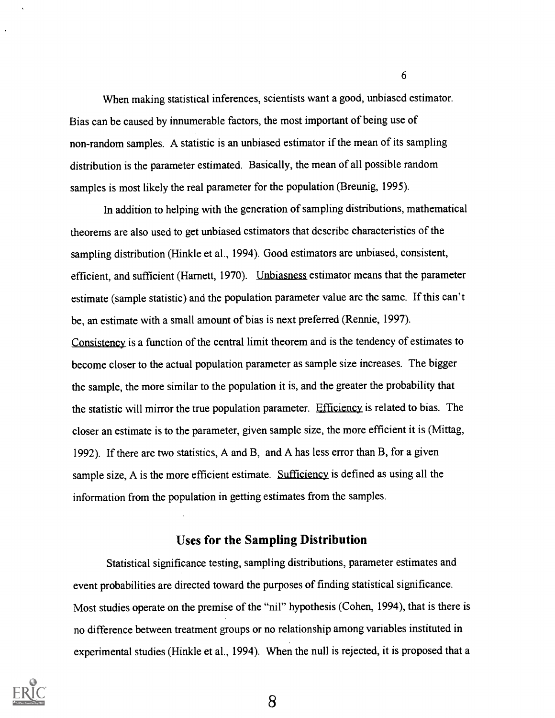When making statistical inferences, scientists want a good, unbiased estimator. Bias can be caused by innumerable factors, the most important of being use of non-random samples. A statistic is an unbiased estimator if the mean of its sampling distribution is the parameter estimated. Basically, the mean of all possible random samples is most likely the real parameter for the population (Breunig, 1995).

In addition to helping with the generation of sampling distributions, mathematical theorems are also used to get unbiased estimators that describe characteristics of the sampling distribution (Hinkle et al., 1994). Good estimators are unbiased, consistent, efficient, and sufficient (Harnett, 1970). Unbiasness estimator means that the parameter estimate (sample statistic) and the population parameter value are the same. If this can't be, an estimate with a small amount of bias is next preferred (Rennie, 1997). Consistency is a function of the central limit theorem and is the tendency of estimates to become closer to the actual population parameter as sample size increases. The bigger the sample, the more similar to the population it is, and the greater the probability that the statistic will mirror the true population parameter. Efficiency is related to bias. The closer an estimate is to the parameter, given sample size, the more efficient it is (Mittag, 1992). If there are two statistics, A and B, and A has less error than B, for a given sample size. A is the more efficient estimate. Sufficiency is defined as using all the information from the population in getting estimates from the samples.

#### Uses for the Sampling Distribution

Statistical significance testing, sampling distributions, parameter estimates and event probabilities are directed toward the purposes of finding statistical significance. Most studies operate on the premise of the "nil" hypothesis (Cohen, 1994), that is there is no difference between treatment groups or no relationship among variables instituted in experimental studies (Hinkle et al., 1994). When the null is rejected, it is proposed that a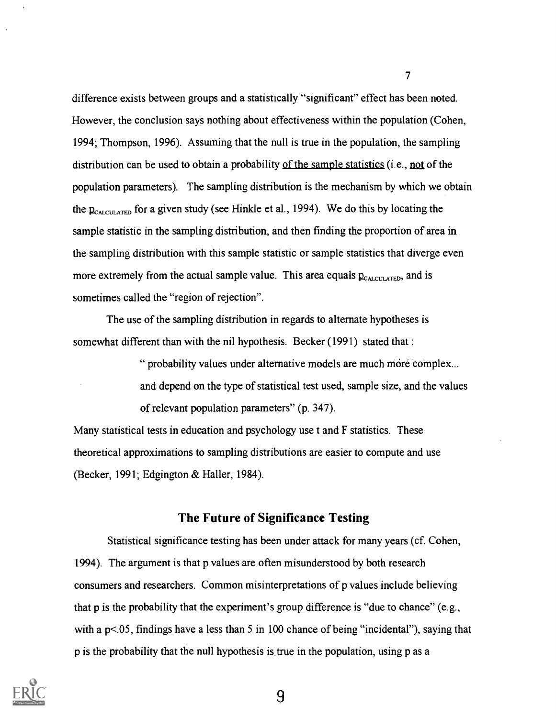difference exists between groups and a statistically "significant" effect has been noted. However, the conclusion says nothing about effectiveness within the population (Cohen, 1994; Thompson, 1996). Assuming that the null is true in the population, the sampling distribution can be used to obtain a probability of the sample statistics (i.e., not of the population parameters). The sampling distribution is the mechanism by which we obtain the  $p_{\text{CALULATED}}$  for a given study (see Hinkle et al., 1994). We do this by locating the sample statistic in the sampling distribution, and then finding the proportion of area in the sampling distribution with this sample statistic or sample statistics that diverge even more extremely from the actual sample value. This area equals  $p_{\text{CALCULATED}}$ , and is sometimes called the "region of rejection".

The use of the sampling distribution in regards to alternate hypotheses is somewhat different than with the nil hypothesis. Becker (1991) stated that :

> " probability values under alternative models are much móre complex... and depend on the type of statistical test used, sample size, and the values of relevant population parameters" (p. 347).

Many statistical tests in education and psychology use t and F statistics. These theoretical approximations to sampling distributions are easier to compute and use (Becker, 1991; Edgington & Haller, 1984).

### The Future of Significance Testing

Statistical significance testing has been under attack for many years (cf. Cohen, 1994). The argument is that p values are often misunderstood by both research consumers and researchers. Common misinterpretations of p values include believing that p is the probability that the experiment's group difference is "due to chance" (e.g., with a p<.05, findings have a less than 5 in 100 chance of being "incidental"), saying that p is the probability that the null hypothesis is true in the population, using p as a

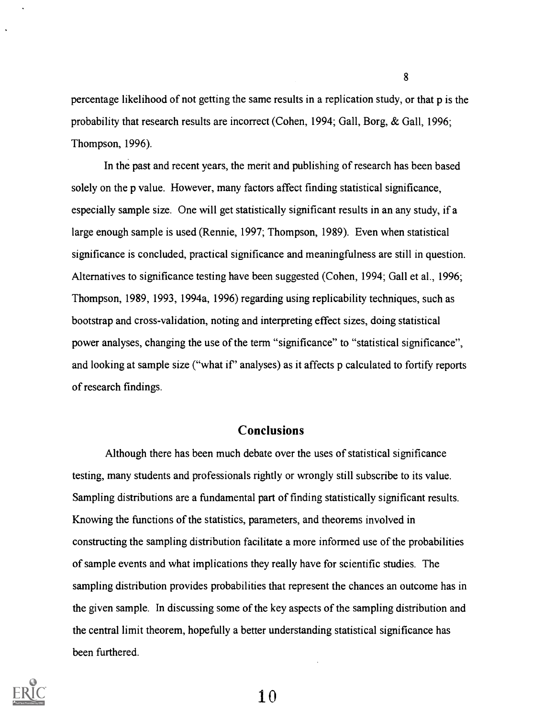percentage likelihood of not getting the same results in a replication study, or that p is the probability that research results are incorrect (Cohen, 1994; Gall, Borg, & Gall, 1996; Thompson, 1996).

In the past and recent years, the merit and publishing of research has been based solely on the p value. However, many factors affect finding statistical significance, especially sample size. One will get statistically significant results in an any study, if a large enough sample is used (Rennie, 1997; Thompson, 1989). Even when statistical significance is concluded, practical significance and meaningfulness are still in question. Alternatives to significance testing have been suggested (Cohen, 1994; Gall et al., 1996; Thompson, 1989, 1993, 1994a, 1996) regarding using replicability techniques, such as bootstrap and cross-validation, noting and interpreting effect sizes, doing statistical power analyses, changing the use of the term "significance" to "statistical significance", and looking at sample size ("what if' analyses) as it affects p calculated to fortify reports of research findings.

### **Conclusions**

Although there has been much debate over the uses of statistical significance testing, many students and professionals rightly or wrongly still subscribe to its value. Sampling distributions are a fundamental part of finding statistically significant results. Knowing the functions of the statistics, parameters, and theorems involved in constructing the sampling distribution facilitate a more informed use of the probabilities of sample events and what implications they really have for scientific studies. The sampling distribution provides probabilities that represent the chances an outcome has in the given sample. In discussing some of the key aspects of the sampling distribution and the central limit theorem, hopefully a better understanding statistical significance has been furthered.



1 0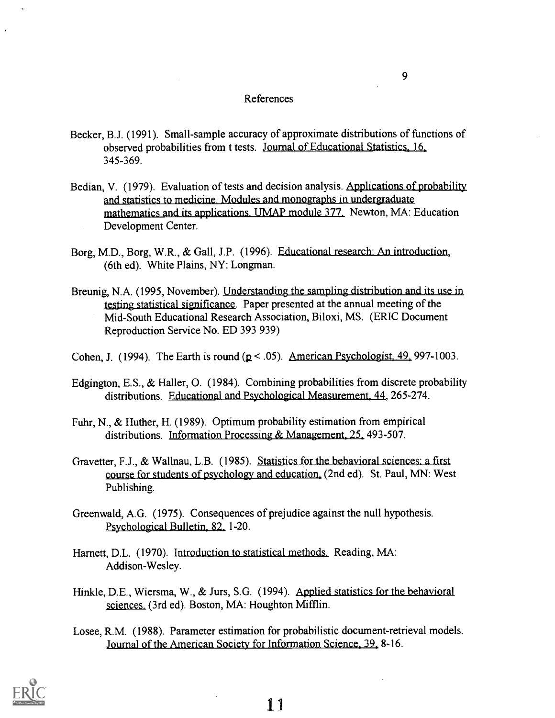#### References

- Becker, B.J. (1991). Small-sample accuracy of approximate distributions of functions of observed probabilities from t tests. Journal of Educational Statistics, 16, 345-369.
- Bedian, V. (1979). Evaluation of tests and decision analysis. Applications of probability and statistics to medicine. Modules and monographs in undergraduate mathematics and its applications. UMAP module 377. Newton, MA: Education Development Center.
- Borg, M.D., Borg, W.R., & Gall, J.P. (1996). Educational research: An introduction, (6th ed). White Plains, NY: Longman.
- Breunig, N.A. (1995, November). Understanding the sampling distribution and its use in testing statistical significance. Paper presented at the annual meeting of the Mid-South Educational Research Association, Biloxi, MS. (ERIC Document Reproduction Service No. ED 393 939)
- Cohen, J. (1994). The Earth is round  $(p < .05)$ . American Psychologist. 49. 997-1003.
- Edgington, E.S., & Haller, 0. (1984). Combining probabilities from discrete probability distributions. Educational and Psychological Measurement, 44, 265-274.
- Fuhr, N., & Huther, H. (1989). Optimum probability estimation from empirical distributions. Information Processing & Management, 25, 493-507.
- Gravetter, F.J., & Wallnau, L.B. (1985). Statistics for the behavioral sciences: a first course for students of psychology and education. (2nd ed). St. Paul, MN: West Publishing.
- Greenwald, A.G. (1975). Consequences of prejudice against the null hypothesis. Psychological Bulletin, 82, 1-20.
- Harnett, D.L. (1970). Introduction to statistical methods. Reading, MA: Addison-Wesley.
- Hinkle, D.E., Wiersma, W., & Jurs, S.G. (1994). Applied statistics for the behavioral sciences. (3rd ed). Boston, MA: Houghton Mifflin.
- Losee, R.M. (1988). Parameter estimation for probabilistic document-retrieval models. Journal of the American Society for Information Science, 39. 8-16.

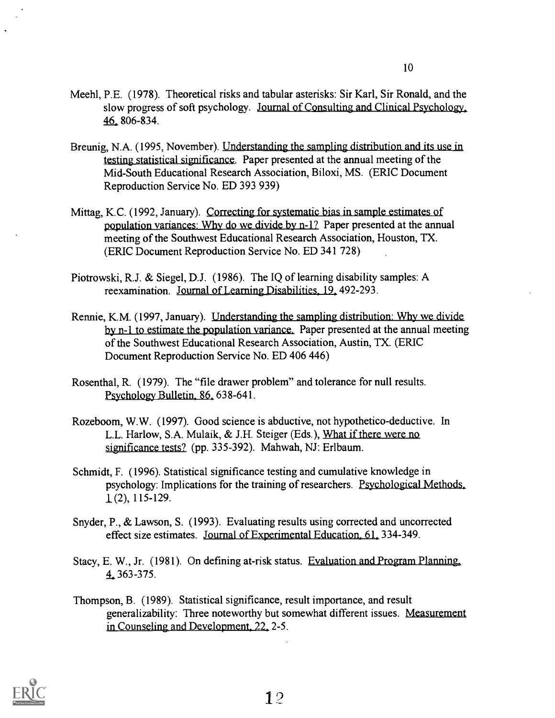- Meehl, P.E. (1978). Theoretical risks and tabular asterisks: Sir Karl, Sir Ronald, and the slow progress of soft psychology. Journal of Consulting and Clinical Psychology. 46, 806-834.
- Breunig, N.A. (1995, November). Understanding the sampling distribution and its use in testing statistical significance. Paper presented at the annual meeting of the Mid-South Educational Research Association, Biloxi, MS. (ERIC Document Reproduction Service No. ED 393 939)
- Mittag, K.C. (1992, January). Correcting for systematic bias in sample estimates of population variances: Why do we divide by n-1? Paper presented at the annual meeting of the Southwest Educational Research Association, Houston, TX. (ERIC Document Reproduction Service No. ED 341 728)
- Piotrowski, R.J. & Siegel, D.J. (1986). The IQ of learning disability samples: A reexamination. Journal of Learning Disabilities, 19. 492-293.
- Rennie, K.M. (1997, January). Understanding the sampling distribution: Why we divide by n-1 to estimate the population variance. Paper presented at the annual meeting of the Southwest Educational Research Association, Austin, TX. (ERIC Document Reproduction Service No. ED 406 446)
- Rosenthal, R. (1979). The "file drawer problem" and tolerance for null results. Psychology Bulletin, 86, 638-641.
- Rozeboom, W.W. (1997). Good science is abductive, not hypothetico-deductive. In L.L. Harlow, S.A. Mulaik, & J.H. Steiger (Eds.), What if there were no significance tests? (pp. 335-392). Mahwah, NJ: Erlbaum.
- Schmidt, F. (1996). Statistical significance testing and cumulative knowledge in psychology: Implications for the training of researchers. Psychological Methods. 1 (2), 115-129.
- Snyder, P., & Lawson, S. (1993). Evaluating results using corrected and uncorrected effect size estimates. Journal of Experimental Education, 61, 334-349.

Stacy, E. W., Jr. (1981). On defining at-risk status. Evaluation and Program Planning. 4 363-375.

Thompson, B. (1989). Statistical significance, result importance, and result generalizability: Three noteworthy but somewhat different issues. Measurement in Counseling and Development. 22. 2-5.

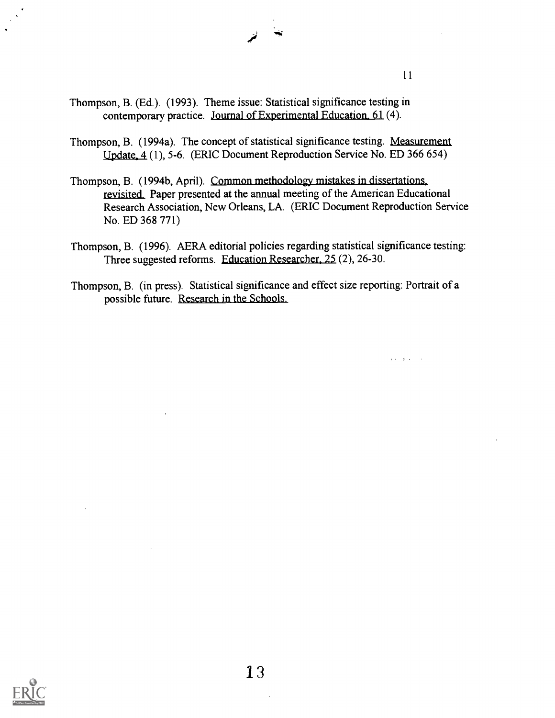$\mathbf{z}$  ,  $\mathbf{z}$  ,  $\mathbf{z}$  ,  $\mathbf{z}$  ,  $\mathbf{z}$  ,

- Thompson, B. (Ed.). (1993). Theme issue: Statistical significance testing in contemporary practice. Journal of Experimental Education, 61 (4).
- Thompson, B. (1994a). The concept of statistical significance testing. Measurement Update. 4 (1), 5-6. (ERIC Document Reproduction Service No. ED 366 654)
- Thompson, B. (1994b, April). Common methodology mistakes in dissertations\_ revisited. Paper presented at the annual meeting of the American Educational Research Association, New Orleans, LA. (ERIC Document Reproduction Service No. ED 368 771)
- Thompson, B. (1996). AERA editorial policies regarding statistical significance testing: Three suggested reforms. Education Researcher, 25 (2), 26-30.
- Thompson, B. (in press). Statistical significance and effect size reporting: Portrait of a possible future. Research in the Schools.